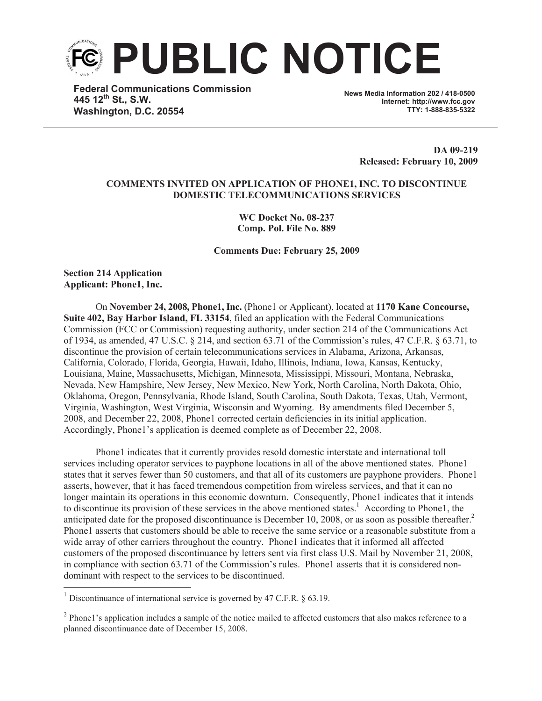

**Federal Communications Commission 445 12th St., S.W. Washington, D.C. 20554**

**News Media Information 202 / 418-0500 Internet: http://www.fcc.gov TTY: 1-888-835-5322**

> **DA 09-219 Released: February 10, 2009**

## **COMMENTS INVITED ON APPLICATION OF PHONE1, INC. TO DISCONTINUE DOMESTIC TELECOMMUNICATIONS SERVICES**

**WC Docket No. 08-237 Comp. Pol. File No. 889**

**Comments Due: February 25, 2009**

**Section 214 Application Applicant: Phone1, Inc.**

On **November 24, 2008, Phone1, Inc.** (Phone1 or Applicant), located at **1170 Kane Concourse, Suite 402, Bay Harbor Island, FL 33154**, filed an application with the Federal Communications Commission (FCC or Commission) requesting authority, under section 214 of the Communications Act of 1934, as amended, 47 U.S.C. § 214, and section 63.71 of the Commission's rules, 47 C.F.R. § 63.71, to discontinue the provision of certain telecommunications services in Alabama, Arizona, Arkansas, California, Colorado, Florida, Georgia, Hawaii, Idaho, Illinois, Indiana, Iowa, Kansas, Kentucky, Louisiana, Maine, Massachusetts, Michigan, Minnesota, Mississippi, Missouri, Montana, Nebraska, Nevada, New Hampshire, New Jersey, New Mexico, New York, North Carolina, North Dakota, Ohio, Oklahoma, Oregon, Pennsylvania, Rhode Island, South Carolina, South Dakota, Texas, Utah, Vermont, Virginia, Washington, West Virginia, Wisconsin and Wyoming. By amendments filed December 5, 2008, and December 22, 2008, Phone1 corrected certain deficiencies in its initial application. Accordingly, Phone1's application is deemed complete as of December 22, 2008.

Phone1 indicates that it currently provides resold domestic interstate and international toll services including operator services to payphone locations in all of the above mentioned states. Phone1 states that it serves fewer than 50 customers, and that all of its customers are payphone providers. Phone1 asserts, however, that it has faced tremendous competition from wireless services, and that it can no longer maintain its operations in this economic downturn. Consequently, Phone1 indicates that it intends to discontinue its provision of these services in the above mentioned states.<sup>1</sup> According to Phone1, the anticipated date for the proposed discontinuance is December 10, 2008, or as soon as possible thereafter.<sup>2</sup> Phone1 asserts that customers should be able to receive the same service or a reasonable substitute from a wide array of other carriers throughout the country. Phone1 indicates that it informed all affected customers of the proposed discontinuance by letters sent via first class U.S. Mail by November 21, 2008, in compliance with section 63.71 of the Commission's rules. Phone1 asserts that it is considered nondominant with respect to the services to be discontinued.

<sup>&</sup>lt;sup>1</sup> Discontinuance of international service is governed by 47 C.F.R.  $\&$  63.19.

 $2$  Phone1's application includes a sample of the notice mailed to affected customers that also makes reference to a planned discontinuance date of December 15, 2008.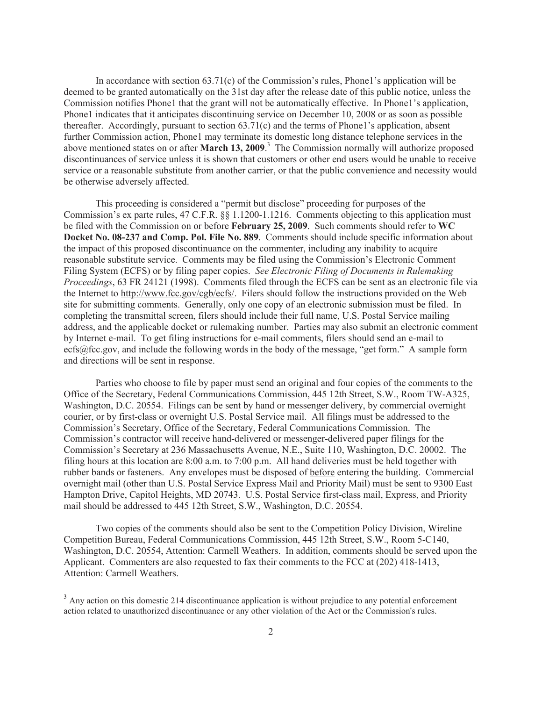In accordance with section  $63.71(c)$  of the Commission's rules, Phone1's application will be deemed to be granted automatically on the 31st day after the release date of this public notice, unless the Commission notifies Phone1 that the grant will not be automatically effective. In Phone1's application, Phone1 indicates that it anticipates discontinuing service on December 10, 2008 or as soon as possible thereafter. Accordingly, pursuant to section  $63.71(c)$  and the terms of Phone1's application, absent further Commission action, Phone1 may terminate its domestic long distance telephone services in the above mentioned states on or after **March 13, 2009**. <sup>3</sup> The Commission normally will authorize proposed discontinuances of service unless it is shown that customers or other end users would be unable to receive service or a reasonable substitute from another carrier, or that the public convenience and necessity would be otherwise adversely affected.

This proceeding is considered a "permit but disclose" proceeding for purposes of the Commission's ex parte rules, 47 C.F.R. §§ 1.1200-1.1216. Comments objecting to this application must be filed with the Commission on or before **February 25, 2009**. Such comments should refer to **WC Docket No. 08-237 and Comp. Pol. File No. 889**. Comments should include specific information about the impact of this proposed discontinuance on the commenter, including any inability to acquire reasonable substitute service. Comments may be filed using the Commission's Electronic Comment Filing System (ECFS) or by filing paper copies. *See Electronic Filing of Documents in Rulemaking Proceedings*, 63 FR 24121 (1998). Comments filed through the ECFS can be sent as an electronic file via the Internet to http://www.fcc.gov/cgb/ecfs/. Filers should follow the instructions provided on the Web site for submitting comments. Generally, only one copy of an electronic submission must be filed. In completing the transmittal screen, filers should include their full name, U.S. Postal Service mailing address, and the applicable docket or rulemaking number. Parties may also submit an electronic comment by Internet e-mail. To get filing instructions for e-mail comments, filers should send an e-mail to ecfs@fcc.gov, and include the following words in the body of the message, "get form." A sample form and directions will be sent in response.

Parties who choose to file by paper must send an original and four copies of the comments to the Office of the Secretary, Federal Communications Commission, 445 12th Street, S.W., Room TW-A325, Washington, D.C. 20554. Filings can be sent by hand or messenger delivery, by commercial overnight courier, or by first-class or overnight U.S. Postal Service mail. All filings must be addressed to the Commission's Secretary, Office of the Secretary, Federal Communications Commission. The Commission's contractor will receive hand-delivered or messenger-delivered paper filings for the Commission's Secretary at 236 Massachusetts Avenue, N.E., Suite 110, Washington, D.C. 20002. The filing hours at this location are 8:00 a.m. to 7:00 p.m. All hand deliveries must be held together with rubber bands or fasteners. Any envelopes must be disposed of before entering the building. Commercial overnight mail (other than U.S. Postal Service Express Mail and Priority Mail) must be sent to 9300 East Hampton Drive, Capitol Heights, MD 20743. U.S. Postal Service first-class mail, Express, and Priority mail should be addressed to 445 12th Street, S.W., Washington, D.C. 20554.

Two copies of the comments should also be sent to the Competition Policy Division, Wireline Competition Bureau, Federal Communications Commission, 445 12th Street, S.W., Room 5-C140, Washington, D.C. 20554, Attention: Carmell Weathers. In addition, comments should be served upon the Applicant. Commenters are also requested to fax their comments to the FCC at (202) 418-1413, Attention: Carmell Weathers.

<sup>&</sup>lt;sup>3</sup> Any action on this domestic 214 discontinuance application is without prejudice to any potential enforcement action related to unauthorized discontinuance or any other violation of the Act or the Commission's rules.